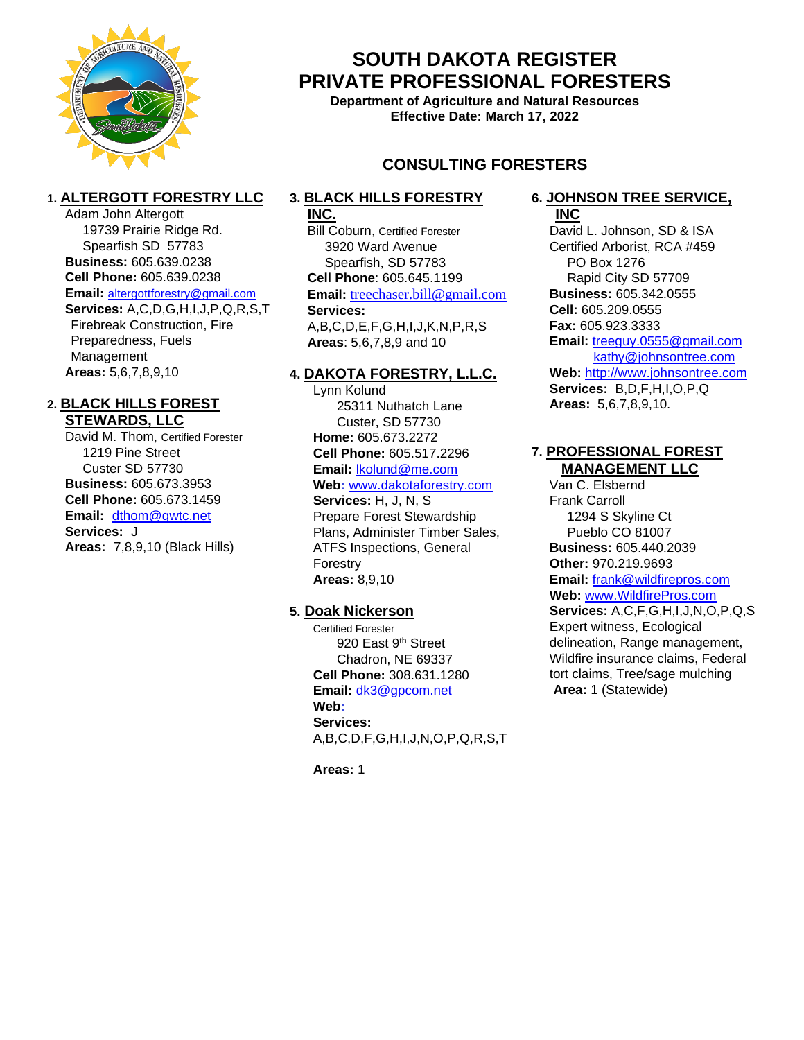

Adam John Altergott

Management **Areas:** 5,6,7,8,9,10

**Services:** J

**2. BLACK HILLS FOREST STEWARDS, LLC**

> 1219 Pine Street Custer SD 57730 **Business:** 605.673.3953 **Cell Phone:** 605.673.1459 **Email:** [dthom@gwtc.net](mailto:dthom@gwtc.net)

David M. Thom, Certified Forester

**Areas:** 7,8,9,10 (Black Hills)

**1. ALTERGOTT FORESTRY LLC**

19739 Prairie Ridge Rd. Spearfish SD 57783 **Business:** 605.639.0238 **Cell Phone:** 605.639.0238 **Email:** [altergottforestry@gmail.com](mailto:altergottforestry@gmail.com) **Services:** A,C,D,G,H,I,J,P,Q,R,S,T Firebreak Construction, Fire Preparedness, Fuels

## **SOUTH DAKOTA REGISTER PRIVATE PROFESSIONAL FORESTERS**

**Department of Agriculture and Natural Resources Effective Date: March 17, 2022**

## **CONSULTING FORESTERS**

### **3. BLACK HILLS FORESTRY**

#### **INC.**

Bill Coburn, Certified Forester 3920 Ward Avenue Spearfish, SD 57783 **Cell Phone**: 605.645.1199 **Email:** treechaser.bill@gmail.com **Services:** A,B,C,D,E,F,G,H,I,J,K,N,P,R,S **Areas**: 5,6,7,8,9 and 10

#### **4. DAKOTA FORESTRY, L.L.C.**

Lynn Kolund 25311 Nuthatch Lane Custer, SD 57730 **Home:** 605.673.2272 **Cell Phone:** 605.517.2296 **Email:** [lkolund@me.com](mailto:lkolund@me.com) **Web:** [www.dakotaforestry.com](file:///C:/Users/agrc12588b/AppData/Local/Microsoft/Windows/INetCache/Content.Outlook/VE5UMEV1/www.dakotaforestry.com) **Services:** H, J, N, S Prepare Forest Stewardship

Plans, Administer Timber Sales, ATFS Inspections, General Forestry **Areas:** 8,9,10

#### **5. Doak Nickerson**

Certified Forester 920 East 9<sup>th</sup> Street Chadron, NE 69337 **Cell Phone:** 308.631.1280 **Email:** [dk3@gpcom.net](mailto:dk3@gpcom.net) **Web: Services:** A,B,C,D,F,G,H,I,J,N,O,P,Q,R,S,T

**Areas:** 1

#### **6. JOHNSON TREE SERVICE, INC**

David L. Johnson, SD & ISA Certified Arborist, RCA #459 PO Box 1276 Rapid City SD 57709 **Business:** 605.342.0555 **Cell:** 605.209.0555 **Fax:** 605.923.3333 **Email:** [treeguy.0555@gmail.com](mailto:treeguy.0555@gmail.com) [kathy@johnsontree.com](mailto:kathy@johnsontree.com) **Web:** [http://www.johnsontree.com](http://www.johnsontree.com/) **Services:** B,D,F,H,I,O,P,Q **Areas:** 5,6,7,8,9,10.

#### **7. PROFESSIONAL FOREST MANAGEMENT LLC**

Van C. Elsbernd Frank Carroll 1294 S Skyline Ct Pueblo CO 81007 **Business:** 605.440.2039 **Other:** 970.219.9693 **Email:** [frank@wildfirepros.com](mailto:frank@wildfirepros.com) **Web:** [www.WildfirePros.com](http://www.wildfirepros.com/) **Services:** A,C,F,G,H,I,J,N,O,P,Q,S Expert witness, Ecological delineation, Range management, Wildfire insurance claims, Federal tort claims, Tree/sage mulching **Area:** 1 (Statewide)